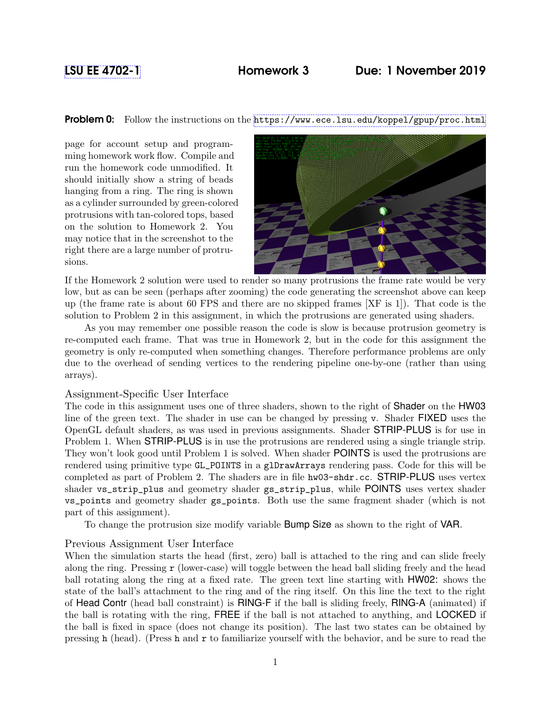# [LSU EE 4702-1](https://www.ece.lsu.edu/koppel/gpup/) Homework 3 Due: 1 November 2019

**Problem 0:** Follow the instructions on the <https://www.ece.lsu.edu/koppel/gpup/proc.html>

page for account setup and programming homework work flow. Compile and run the homework code unmodified. It should initially show a string of beads hanging from a ring. The ring is shown as a cylinder surrounded by green-colored protrusions with tan-colored tops, based on the solution to Homework 2. You may notice that in the screenshot to the right there are a large number of protrusions.



If the Homework 2 solution were used to render so many protrusions the frame rate would be very low, but as can be seen (perhaps after zooming) the code generating the screenshot above can keep up (the frame rate is about 60 FPS and there are no skipped frames [XF is 1]). That code is the solution to Problem 2 in this assignment, in which the protrusions are generated using shaders.

As you may remember one possible reason the code is slow is because protrusion geometry is re-computed each frame. That was true in Homework 2, but in the code for this assignment the geometry is only re-computed when something changes. Therefore performance problems are only due to the overhead of sending vertices to the rendering pipeline one-by-one (rather than using arrays).

#### Assignment-Specific User Interface

The code in this assignment uses one of three shaders, shown to the right of Shader on the HW03 line of the green text. The shader in use can be changed by pressing v. Shader FIXED uses the OpenGL default shaders, as was used in previous assignments. Shader STRIP-PLUS is for use in Problem 1. When STRIP-PLUS is in use the protrusions are rendered using a single triangle strip. They won't look good until Problem 1 is solved. When shader **POINTS** is used the protrusions are rendered using primitive type GL\_POINTS in a glDrawArrays rendering pass. Code for this will be completed as part of Problem 2. The shaders are in file hw03-shdr.cc. STRIP-PLUS uses vertex shader vs\_strip\_plus and geometry shader gs\_strip\_plus, while POINTS uses vertex shader vs\_points and geometry shader gs\_points. Both use the same fragment shader (which is not part of this assignment).

To change the protrusion size modify variable Bump Size as shown to the right of VAR.

## Previous Assignment User Interface

When the simulation starts the head (first, zero) ball is attached to the ring and can slide freely along the ring. Pressing  $r$  (lower-case) will toggle between the head ball sliding freely and the head ball rotating along the ring at a fixed rate. The green text line starting with HW02: shows the state of the ball's attachment to the ring and of the ring itself. On this line the text to the right of Head Contr (head ball constraint) is RING-F if the ball is sliding freely, RING-A (animated) if the ball is rotating with the ring, FREE if the ball is not attached to anything, and LOCKED if the ball is fixed in space (does not change its position). The last two states can be obtained by pressing h (head). (Press h and r to familiarize yourself with the behavior, and be sure to read the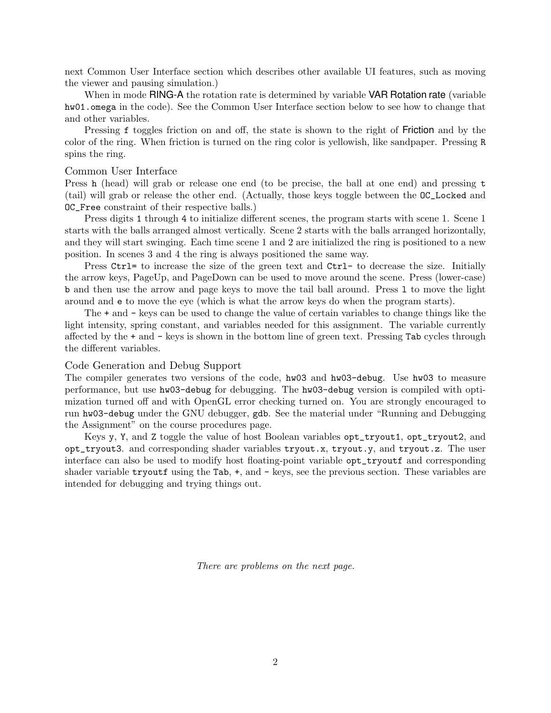next Common User Interface section which describes other available UI features, such as moving the viewer and pausing simulation.)

When in mode **RING-A** the rotation rate is determined by variable **VAR Rotation rate** (variable hw01.omega in the code). See the Common User Interface section below to see how to change that and other variables.

Pressing f toggles friction on and off, the state is shown to the right of Friction and by the color of the ring. When friction is turned on the ring color is yellowish, like sandpaper. Pressing R spins the ring.

#### Common User Interface

Press h (head) will grab or release one end (to be precise, the ball at one end) and pressing t (tail) will grab or release the other end. (Actually, those keys toggle between the OC\_Locked and OC\_Free constraint of their respective balls.)

Press digits 1 through 4 to initialize different scenes, the program starts with scene 1. Scene 1 starts with the balls arranged almost vertically. Scene 2 starts with the balls arranged horizontally, and they will start swinging. Each time scene 1 and 2 are initialized the ring is positioned to a new position. In scenes 3 and 4 the ring is always positioned the same way.

Press Ctrl= to increase the size of the green text and Ctrl- to decrease the size. Initially the arrow keys, PageUp, and PageDown can be used to move around the scene. Press (lower-case) b and then use the arrow and page keys to move the tail ball around. Press l to move the light around and e to move the eye (which is what the arrow keys do when the program starts).

The + and - keys can be used to change the value of certain variables to change things like the light intensity, spring constant, and variables needed for this assignment. The variable currently affected by the + and - keys is shown in the bottom line of green text. Pressing Tab cycles through the different variables.

### Code Generation and Debug Support

The compiler generates two versions of the code, hw03 and hw03-debug. Use hw03 to measure performance, but use hw03-debug for debugging. The hw03-debug version is compiled with optimization turned off and with OpenGL error checking turned on. You are strongly encouraged to run hw03-debug under the GNU debugger, gdb. See the material under "Running and Debugging the Assignment" on the course procedures page.

Keys y, Y, and Z toggle the value of host Boolean variables opt\_tryout1, opt\_tryout2, and opt\_tryout3. and corresponding shader variables tryout.x, tryout.y, and tryout.z. The user interface can also be used to modify host floating-point variable opt\_tryoutf and corresponding shader variable tryoutf using the Tab,  $+$ , and  $-$  keys, see the previous section. These variables are intended for debugging and trying things out.

There are problems on the next page.